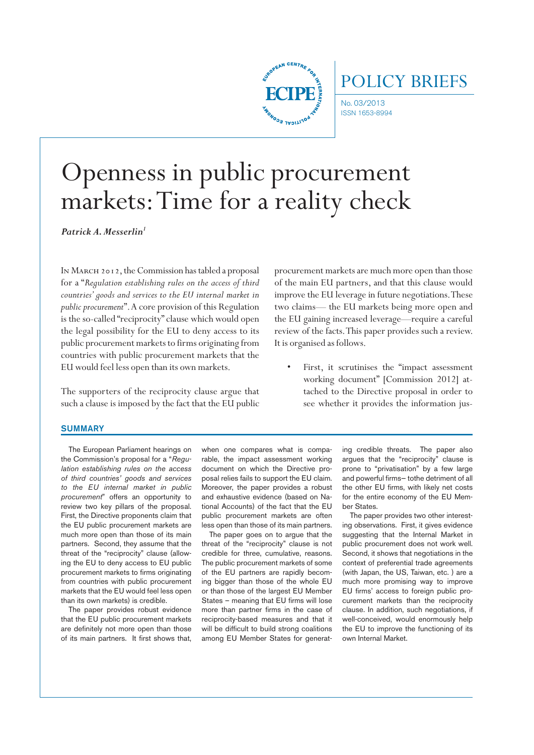

# POLICY BRIEFS

No. 03/2013 ISSN 1653-8994

# Openness in public procurement markets: Time for a reality check

Patrick A. Messerlin<sup>1</sup>

In March 2012, the Commission has tabled a proposal for a "*Regulation establishing rules on the access of third countries' goods and services to the EU internal market in public procurement*". A core provision of this Regulation is the so-called "reciprocity" clause which would open the legal possibility for the EU to deny access to its public procurement markets to firms originating from countries with public procurement markets that the EU would feel less open than its own markets.

The supporters of the reciprocity clause argue that such a clause is imposed by the fact that the EU public

procurement markets are much more open than those of the main EU partners, and that this clause would improve the EU leverage in future negotiations. These two claims— the EU markets being more open and the EU gaining increased leverage—require a careful review of the facts. This paper provides such a review. It is organised as follows.

First, it scrutinises the "impact assessment working document" [Commission 2012] attached to the Directive proposal in order to see whether it provides the information jus-

#### **SUMMARY**

The European Parliament hearings on the Commission's proposal for a "*Regulation establishing rules on the access of third countries' goods and services to the EU internal market in public procurement*" offers an opportunity to review two key pillars of the proposal. First, the Directive proponents claim that the EU public procurement markets are much more open than those of its main partners. Second, they assume that the threat of the "reciprocity" clause (allowing the EU to deny access to EU public procurement markets to firms originating from countries with public procurement markets that the EU would feel less open than its own markets) is credible.

The paper provides robust evidence that the EU public procurement markets are definitely not more open than those of its main partners. It first shows that,

when one compares what is comparable, the impact assessment working document on which the Directive proposal relies fails to support the EU claim. Moreover, the paper provides a robust and exhaustive evidence (based on National Accounts) of the fact that the EU public procurement markets are often less open than those of its main partners.

The paper goes on to argue that the threat of the "reciprocity" clause is not credible for three, cumulative, reasons. The public procurement markets of some of the EU partners are rapidly becoming bigger than those of the whole EU or than those of the largest EU Member States – meaning that EU firms will lose more than partner firms in the case of reciprocity-based measures and that it will be difficult to build strong coalitions among EU Member States for generating credible threats. The paper also argues that the "reciprocity" clause is prone to "privatisation" by a few large and powerful firms— tothe detriment of all the other EU firms, with likely net costs for the entire economy of the EU Member States.

The paper provides two other interesting observations. First, it gives evidence suggesting that the Internal Market in public procurement does not work well. Second, it shows that negotiations in the context of preferential trade agreements (with Japan, the US, Taiwan, etc. ) are a much more promising way to improve EU firms' access to foreign public procurement markets than the reciprocity clause. In addition, such negotiations, if well-conceived, would enormously help the EU to improve the functioning of its own Internal Market.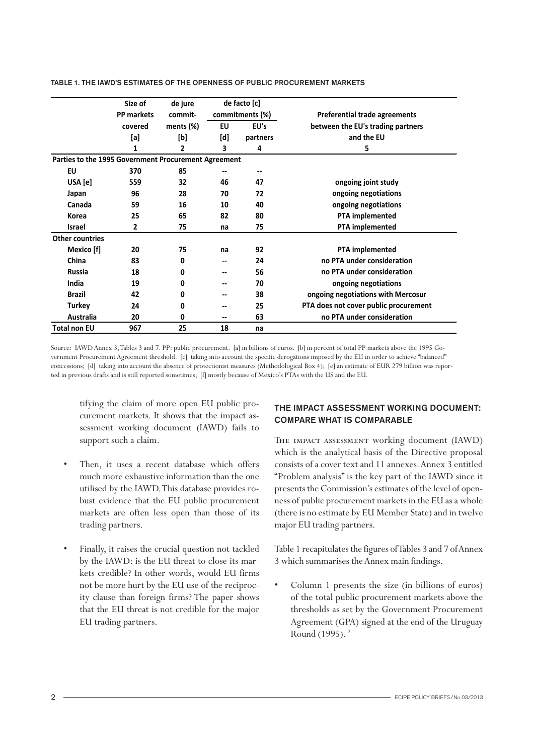|                                                      | Size of<br><b>PP markets</b> | de jure<br>commit- |     | de facto [c]<br>commitments (%) | Preferential trade agreements         |
|------------------------------------------------------|------------------------------|--------------------|-----|---------------------------------|---------------------------------------|
|                                                      | covered                      | ments $(\%)$       | EU  | EU's                            | between the EU's trading partners     |
|                                                      | [a]                          | [b]                | [d] | partners                        | and the EU                            |
|                                                      | 1                            | 2                  | 3   | 4                               | 5                                     |
| Parties to the 1995 Government Procurement Agreement |                              |                    |     |                                 |                                       |
| EU                                                   | 370                          | 85                 |     |                                 |                                       |
| USA [e]                                              | 559                          | 32                 | 46  | 47                              | ongoing joint study                   |
| Japan                                                | 96                           | 28                 | 70  | 72                              | ongoing negotiations                  |
| Canada                                               | 59                           | 16                 | 10  | 40                              | ongoing negotiations                  |
| Korea                                                | 25                           | 65                 | 82  | 80                              | PTA implemented                       |
| <b>Israel</b>                                        | 2                            | 75                 | na  | 75                              | PTA implemented                       |
| <b>Other countries</b>                               |                              |                    |     |                                 |                                       |
| Mexico [f]                                           | 20                           | 75                 | na  | 92                              | <b>PTA</b> implemented                |
| China                                                | 83                           | 0                  | --  | 24                              | no PTA under consideration            |
| <b>Russia</b>                                        | 18                           | 0                  | --  | 56                              | no PTA under consideration            |
| India                                                | 19                           | 0                  |     | 70                              | ongoing negotiations                  |
| <b>Brazil</b>                                        | 42                           | 0                  | --  | 38                              | ongoing negotiations with Mercosur    |
| <b>Turkey</b>                                        | 24                           | 0                  | --  | 25                              | PTA does not cover public procurement |
| Australia                                            | 20                           | 0                  | --  | 63                              | no PTA under consideration            |
| <b>Total non EU</b>                                  | 967                          | 25                 | 18  | na                              |                                       |

TABLE 1. THE IAWD'S ESTIMATES OF THE OPENNESS OF PUBLIC PROCUREMENT MARKETS

Source: IAWD Annex 3, Tables 3 and 7. PP: public procurement. [a] in billions of euros. [b] in percent of total PP markets above the 1995 Government Procurement Agreement threshold. [c] taking into account the specific derogations imposed by the EU in order to achieve "balanced" concessions; [d] taking into account the absence of protectionist measures (Methodological Box 4); [e] an estimate of EUR 279 billion was reported in previous drafts and is still reported sometimes; [f] mostly because of Mexico's PTAs with the US and the EU.

tifying the claim of more open EU public procurement markets. It shows that the impact assessment working document (IAWD) fails to support such a claim.

- Then, it uses a recent database which offers much more exhaustive information than the one utilised by the IAWD. This database provides robust evidence that the EU public procurement markets are often less open than those of its trading partners.
- Finally, it raises the crucial question not tackled by the IAWD: is the EU threat to close its markets credible? In other words, would EU firms not be more hurt by the EU use of the reciprocity clause than foreign firms? The paper shows that the EU threat is not credible for the major EU trading partners.

### THE IMPACT ASSESSMENT WORKING DOCUMENT: COMPARE WHAT IS COMPARABLE

The impact assessment working document (IAWD) which is the analytical basis of the Directive proposal consists of a cover text and 11 annexes. Annex 3 entitled "Problem analysis" is the key part of the IAWD since it presents the Commission's estimates of the level of openness of public procurement markets in the EU as a whole (there is no estimate by EU Member State) and in twelve major EU trading partners.

Table 1 recapitulates the figures of Tables 3 and 7 of Annex 3 which summarises the Annex main findings.

Column 1 presents the size (in billions of euros) of the total public procurement markets above the thresholds as set by the Government Procurement Agreement (GPA) signed at the end of the Uruguay Round (1995). 2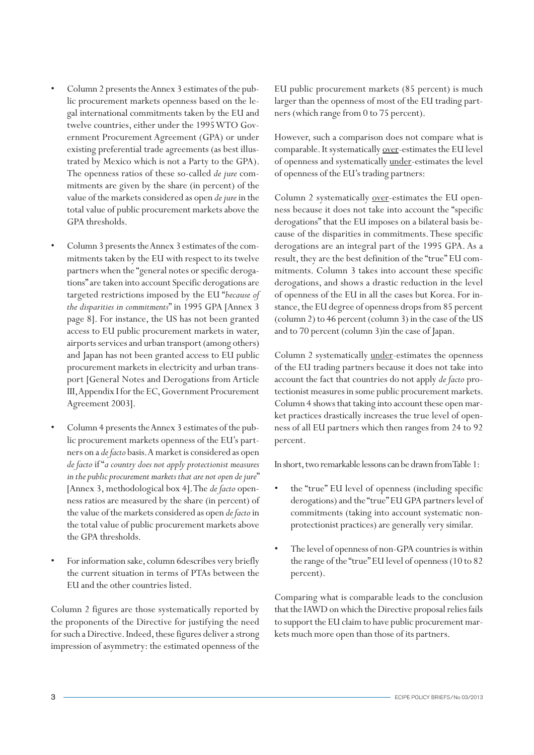- Column 2 presents the Annex 3 estimates of the public procurement markets openness based on the legal international commitments taken by the EU and twelve countries, either under the 1995 WTO Government Procurement Agreement (GPA) or under existing preferential trade agreements (as best illustrated by Mexico which is not a Party to the GPA). The openness ratios of these so-called *de jure* commitments are given by the share (in percent) of the value of the markets considered as open *de jure* in the total value of public procurement markets above the GPA thresholds.
- Column 3 presents the Annex 3 estimates of the commitments taken by the EU with respect to its twelve partners when the "general notes or specific derogations" are taken into account Specific derogations are targeted restrictions imposed by the EU "*because of the disparities in commitments*" in 1995 GPA [Annex 3 page 8]. For instance, the US has not been granted access to EU public procurement markets in water, airports services and urban transport (among others) and Japan has not been granted access to EU public procurement markets in electricity and urban transport [General Notes and Derogations from Article III, Appendix I for the EC, Government Procurement Agreement 2003].
- Column 4 presents the Annex 3 estimates of the public procurement markets openness of the EU's partners on a *de facto* basis. A market is considered as open *de facto* if "*a country does not apply protectionist measures in the public procurement markets that are not open de jure*" [Annex 3, methodological box 4]. The *de facto* openness ratios are measured by the share (in percent) of the value of the markets considered as open *de facto* in the total value of public procurement markets above the GPA thresholds.
- For information sake, column 6describes very briefly the current situation in terms of PTAs between the EU and the other countries listed.

Column 2 figures are those systematically reported by the proponents of the Directive for justifying the need for such a Directive. Indeed, these figures deliver a strong impression of asymmetry: the estimated openness of the EU public procurement markets (85 percent) is much larger than the openness of most of the EU trading partners (which range from 0 to 75 percent).

However, such a comparison does not compare what is comparable. It systematically over-estimates the EU level of openness and systematically under-estimates the level of openness of the EU's trading partners:

Column 2 systematically <u>over</u>-estimates the EU openness because it does not take into account the "specific derogations" that the EU imposes on a bilateral basis because of the disparities in commitments. These specific derogations are an integral part of the 1995 GPA. As a result, they are the best definition of the "true" EU commitments. Column 3 takes into account these specific derogations, and shows a drastic reduction in the level of openness of the EU in all the cases but Korea. For instance, the EU degree of openness drops from 85 percent (column 2) to 46 percent (column 3) in the case of the US and to 70 percent (column 3)in the case of Japan.

Column 2 systematically under-estimates the openness of the EU trading partners because it does not take into account the fact that countries do not apply *de facto* protectionist measures in some public procurement markets. Column 4 shows that taking into account these open market practices drastically increases the true level of openness of all EU partners which then ranges from 24 to 92 percent.

In short, two remarkable lessons can be drawn from Table 1:

- the "true" EU level of openness (including specific derogations) and the "true" EU GPA partners level of commitments (taking into account systematic nonprotectionist practices) are generally very similar.
- The level of openness of non-GPA countries is within the range of the "true" EU level of openness (10 to 82 percent).

Comparing what is comparable leads to the conclusion that the IAWD on which the Directive proposal relies fails to support the EU claim to have public procurement markets much more open than those of its partners.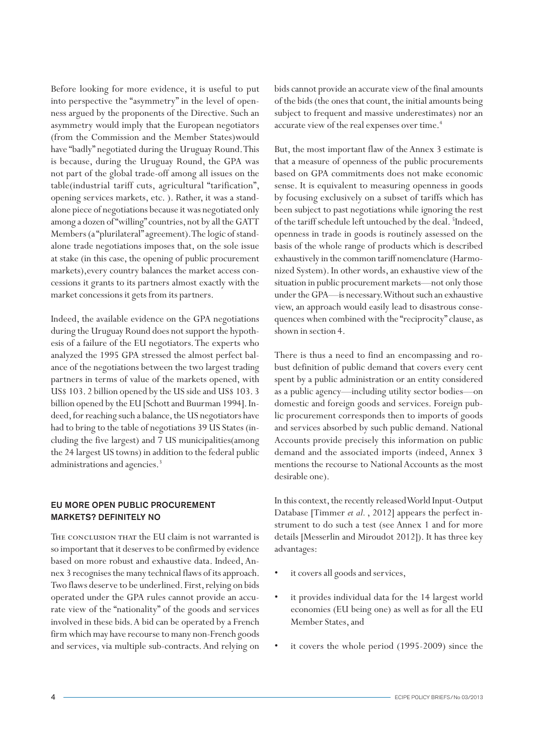Before looking for more evidence, it is useful to put into perspective the "asymmetry" in the level of openness argued by the proponents of the Directive. Such an asymmetry would imply that the European negotiators (from the Commission and the Member States)would have "badly" negotiated during the Uruguay Round. This is because, during the Uruguay Round, the GPA was not part of the global trade-off among all issues on the table(industrial tariff cuts, agricultural "tarification", opening services markets, etc. ). Rather, it was a standalone piece of negotiations because it was negotiated only among a dozen of "willing" countries, not by all the GATT Members (a "plurilateral" agreement). The logic of standalone trade negotiations imposes that, on the sole issue at stake (in this case, the opening of public procurement markets),every country balances the market access concessions it grants to its partners almost exactly with the market concessions it gets from its partners.

Indeed, the available evidence on the GPA negotiations during the Uruguay Round does not support the hypothesis of a failure of the EU negotiators. The experts who analyzed the 1995 GPA stressed the almost perfect balance of the negotiations between the two largest trading partners in terms of value of the markets opened, with US\$ 103. 2 billion opened by the US side and US\$ 103. 3 billion opened by the EU [Schott and Buurman 1994]. Indeed, for reaching such a balance, the US negotiators have had to bring to the table of negotiations 39 US States (including the five largest) and 7 US municipalities(among the 24 largest US towns) in addition to the federal public administrations and agencies.<sup>3</sup>

## EU MORE OPEN PUBLIC PROCUREMENT MARKETS? DEFINITELY NO

The conclusion that the EU claim is not warranted is so important that it deserves to be confirmed by evidence based on more robust and exhaustive data. Indeed, Annex 3 recognises the many technical flaws of its approach. Two flaws deserve to be underlined. First, relying on bids operated under the GPA rules cannot provide an accurate view of the "nationality" of the goods and services involved in these bids. A bid can be operated by a French firm which may have recourse to many non-French goods and services, via multiple sub-contracts. And relying on

bids cannot provide an accurate view of the final amounts of the bids (the ones that count, the initial amounts being subject to frequent and massive underestimates) nor an accurate view of the real expenses over time.<sup>4</sup>

But, the most important flaw of the Annex 3 estimate is that a measure of openness of the public procurements based on GPA commitments does not make economic sense. It is equivalent to measuring openness in goods by focusing exclusively on a subset of tariffs which has been subject to past negotiations while ignoring the rest of the tariff schedule left untouched by the deal. <sup>5</sup>Indeed, openness in trade in goods is routinely assessed on the basis of the whole range of products which is described exhaustively in the common tariff nomenclature (Harmonized System). In other words, an exhaustive view of the situation in public procurement markets—not only those under the GPA—is necessary. Without such an exhaustive view, an approach would easily lead to disastrous consequences when combined with the "reciprocity" clause, as shown in section 4.

There is thus a need to find an encompassing and robust definition of public demand that covers every cent spent by a public administration or an entity considered as a public agency—including utility sector bodies—on domestic and foreign goods and services. Foreign public procurement corresponds then to imports of goods and services absorbed by such public demand. National Accounts provide precisely this information on public demand and the associated imports (indeed, Annex 3 mentions the recourse to National Accounts as the most desirable one).

In this context, the recently released World Input-Output Database [Timmer *et al.* , 2012] appears the perfect instrument to do such a test (see Annex 1 and for more details [Messerlin and Miroudot 2012]). It has three key advantages:

- it covers all goods and services,
- it provides individual data for the 14 largest world economies (EU being one) as well as for all the EU Member States, and
- it covers the whole period (1995-2009) since the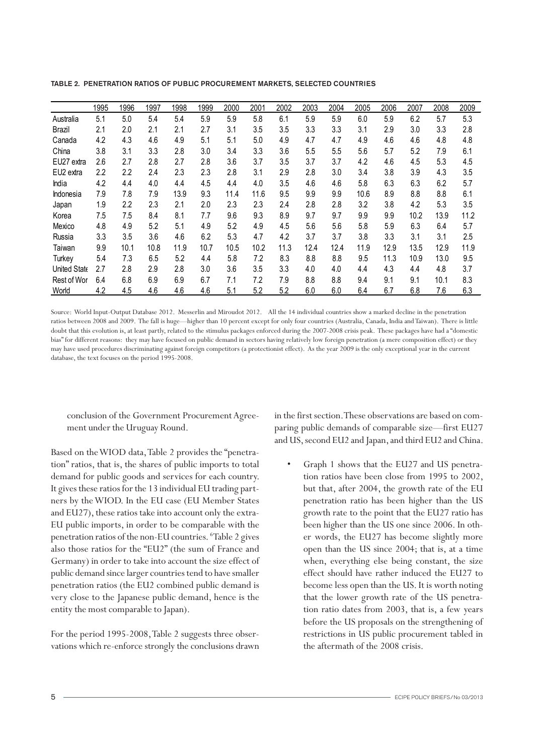|              | 1995 | 1996             | 1997 | 1998 | 1999 | 2000 | 2001 | 2002 | 2003 | 2004 | 2005 | 2006 | 2007 | 2008 | 2009 |
|--------------|------|------------------|------|------|------|------|------|------|------|------|------|------|------|------|------|
| Australia    | 5.1  | 5.0              | 5.4  | 5.4  | 5.9  | 5.9  | 5.8  | 6.1  | 5.9  | 5.9  | 6.0  | 5.9  | 6.2  | 5.7  | 5.3  |
| Brazil       | 2.1  | 2.0              | 2.1  | 2.1  | 2.7  | 3.1  | 3.5  | 3.5  | 3.3  | 3.3  | 3.1  | 2.9  | 3.0  | 3.3  | 2.8  |
| Canada       | 4.2  | 4.3              | 4.6  | 4.9  | 5.1  | 5.1  | 5.0  | 4.9  | 4.7  | 4.7  | 4.9  | 4.6  | 4.6  | 4.8  | 4.8  |
| China        | 3.8  | 3.1              | 3.3  | 2.8  | 3.0  | 3.4  | 3.3  | 3.6  | 5.5  | 5.5  | 5.6  | 5.7  | 5.2  | 7.9  | 6.1  |
| EU27 extra   | 2.6  | 2.7              | 2.8  | 2.7  | 2.8  | 3.6  | 3.7  | 3.5  | 3.7  | 3.7  | 4.2  | 4.6  | 4.5  | 5.3  | 4.5  |
| EU2 extra    | 2.2  | $2.2\,$          | 2.4  | 2.3  | 2.3  | 2.8  | 3.1  | 2.9  | 2.8  | 3.0  | 3.4  | 3.8  | 3.9  | 4.3  | 3.5  |
| India        | 4.2  | 4.4              | 4.0  | 4.4  | 4.5  | 4.4  | 4.0  | 3.5  | 4.6  | 4.6  | 5.8  | 6.3  | 6.3  | 6.2  | 5.7  |
| Indonesia    | 7.9  | 7.8              | 7.9  | 13.9 | 9.3  | 11.4 | 11.6 | 9.5  | 9.9  | 9.9  | 10.6 | 8.9  | 8.8  | 8.8  | 6.1  |
| Japan        | 1.9  | $2.2\phantom{0}$ | 2.3  | 2.1  | 2.0  | 2.3  | 2.3  | 2.4  | 2.8  | 2.8  | 3.2  | 3.8  | 4.2  | 5.3  | 3.5  |
| Korea        | 7.5  | 7.5              | 8.4  | 8.1  | 7.7  | 9.6  | 9.3  | 8.9  | 9.7  | 9.7  | 9.9  | 9.9  | 10.2 | 13.9 | 11.2 |
| Mexico       | 4.8  | 4.9              | 5.2  | 5.1  | 4.9  | 5.2  | 4.9  | 4.5  | 5.6  | 5.6  | 5.8  | 5.9  | 6.3  | 6.4  | 5.7  |
| Russia       | 3.3  | 3.5              | 3.6  | 4.6  | 6.2  | 5.3  | 4.7  | 4.2  | 3.7  | 3.7  | 3.8  | 3.3  | 3.1  | 3.1  | 2.5  |
| Taiwan       | 9.9  | 10.1             | 10.8 | 11.9 | 10.7 | 10.5 | 10.2 | 11.3 | 12.4 | 12.4 | 11.9 | 12.9 | 13.5 | 12.9 | 11.9 |
| Turkey       | 5.4  | 7.3              | 6.5  | 5.2  | 4.4  | 5.8  | 7.2  | 8.3  | 8.8  | 8.8  | 9.5  | 11.3 | 10.9 | 13.0 | 9.5  |
| United State | 2.7  | 2.8              | 2.9  | 2.8  | 3.0  | 3.6  | 3.5  | 3.3  | 4.0  | 4.0  | 4.4  | 4.3  | 4.4  | 4.8  | 3.7  |
| Rest of Wor  | 6.4  | 6.8              | 6.9  | 6.9  | 6.7  | 7.1  | 7.2  | 7.9  | 8.8  | 8.8  | 9.4  | 9.1  | 9.1  | 10.1 | 8.3  |
| World        | 4.2  | 4.5              | 4.6  | 4.6  | 4.6  | 5.1  | 5.2  | 5.2  | 6.0  | 6.0  | 6.4  | 6.7  | 6.8  | 7.6  | 6.3  |

TABLE 2. PENETRATION RATIOS OF PUBLIC PROCUREMENT MARKETS, SELECTED COUNTRIES

Source: World Input-Output Database 2012. Messerlin and Miroudot 2012. All the 14 individual countries show a marked decline in the penetration ratios between 2008 and 2009. The fall is huge—higher than 10 percent except for only four countries (Australia, Canada, India and Taiwan). There is little doubt that this evolution is, at least partly, related to the stimulus packages enforced during the 2007-2008 crisis peak. These packages have had a "domestic bias" for different reasons: they may have focused on public demand in sectors having relatively low foreign penetration (a mere composition effect) or they may have used procedures discriminating against foreign competitors (a protectionist effect). As the year 2009 is the only exceptional year in the current database, the text focuses on the period 1995-2008.

conclusion of the Government Procurement Agreement under the Uruguay Round.

Based on the WIOD data, Table 2 provides the "penetration" ratios, that is, the shares of public imports to total demand for public goods and services for each country. It gives these ratios for the 13 individual EU trading partners by the WIOD. In the EU case (EU Member States and EU27), these ratios take into account only the extra-EU public imports, in order to be comparable with the penetration ratios of the non-EU countries. <sup>6</sup>Table 2 gives also those ratios for the "EU2" (the sum of France and Germany) in order to take into account the size effect of public demand since larger countries tend to have smaller penetration ratios (the EU2 combined public demand is very close to the Japanese public demand, hence is the entity the most comparable to Japan).

For the period 1995-2008, Table 2 suggests three observations which re-enforce strongly the conclusions drawn in the first section. These observations are based on comparing public demands of comparable size—first EU27 and US, second EU2 and Japan, and third EU2 and China.

Graph 1 shows that the EU27 and US penetration ratios have been close from 1995 to 2002, but that, after 2004, the growth rate of the EU penetration ratio has been higher than the US growth rate to the point that the EU27 ratio has been higher than the US one since 2006. In other words, the EU27 has become slightly more open than the US since 2004; that is, at a time when, everything else being constant, the size effect should have rather induced the EU27 to become less open than the US. It is worth noting that the lower growth rate of the US penetration ratio dates from 2003, that is, a few years before the US proposals on the strengthening of restrictions in US public procurement tabled in the aftermath of the 2008 crisis.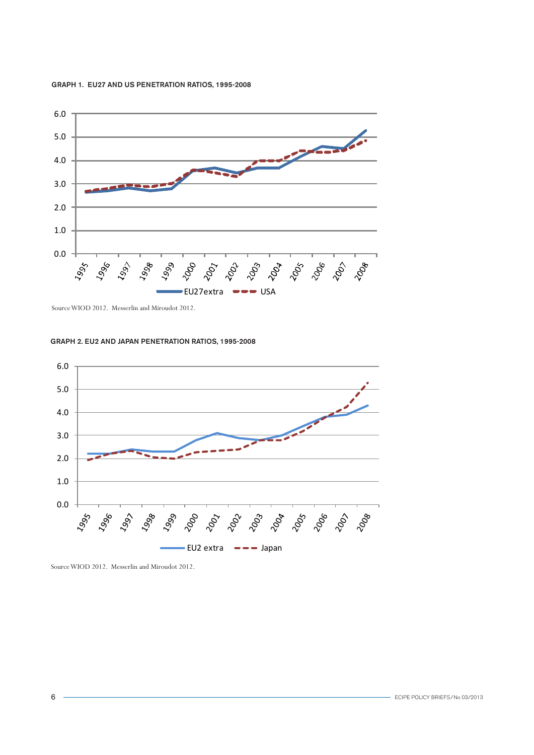#### GRAPH 1. EU27 AND US PENETRATION RATIOS, 1995-2008



Source WIOD 2012. Messerlin and Miroudot 2012.

#### GRAPH 2. EU2 AND JAPAN PENETRATION RATIOS, 1995-2008



Source WIOD 2012. Messerlin and Miroudot 2012.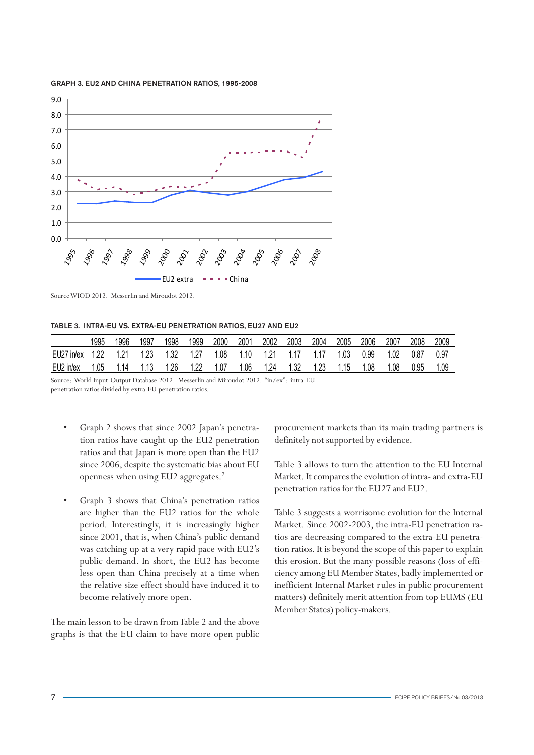#### GRAPH 3. EU2 AND CHINA PENETRATION RATIOS, 1995-2008



Source WIOD 2012. Messerlin and Miroudot 2012.

#### TABLE 3. INTRA-EU VS. EXTRA-EU PENETRATION RATIOS, EU27 AND EU2

|            | 1995 | 1996 | 1997 | '998 | 1999 | 2000 | 2001  | 2002 | 2003 | 2004 | 2005 | 2006 | 2007 | 2008 | 2009 |
|------------|------|------|------|------|------|------|-------|------|------|------|------|------|------|------|------|
| EU27 in/ex |      |      |      |      |      | 1.08 | 1 1 0 |      |      |      | 1.03 | 0.99 | .02  | 0.87 | 0.97 |
| EU2 in/ex  | .05  | . 14 |      | .26  | 1.22 | 1.07 | 1.06  | 1.24 | 1.32 | 1.23 |      | .08  | .08  | 0.95 | .09  |

Source: World Input-Output Database 2012. Messerlin and Miroudot 2012. "in/ex": intra-EU penetration ratios divided by extra-EU penetration ratios.

- Graph 2 shows that since 2002 Japan's penetration ratios have caught up the EU2 penetration ratios and that Japan is more open than the EU2 since 2006, despite the systematic bias about EU openness when using EU2 aggregates.7
- Graph 3 shows that China's penetration ratios are higher than the EU2 ratios for the whole period. Interestingly, it is increasingly higher since 2001, that is, when China's public demand was catching up at a very rapid pace with EU2's public demand. In short, the EU2 has become less open than China precisely at a time when the relative size effect should have induced it to become relatively more open.

The main lesson to be drawn from Table 2 and the above graphs is that the EU claim to have more open public procurement markets than its main trading partners is definitely not supported by evidence.

Table 3 allows to turn the attention to the EU Internal Market. It compares the evolution of intra- and extra-EU penetration ratios for the EU27 and EU2.

Table 3 suggests a worrisome evolution for the Internal Market. Since 2002-2003, the intra-EU penetration ratios are decreasing compared to the extra-EU penetration ratios. It is beyond the scope of this paper to explain this erosion. But the many possible reasons (loss of efficiency among EU Member States, badly implemented or inefficient Internal Market rules in public procurement matters) definitely merit attention from top EUMS (EU Member States) policy-makers.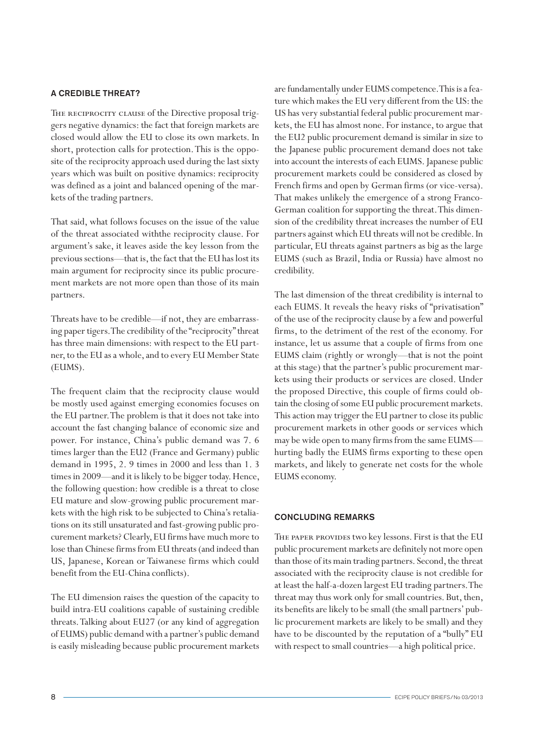## A CREDIBLE THREAT?

THE RECIPROCITY CLAUSE of the Directive proposal triggers negative dynamics: the fact that foreign markets are closed would allow the EU to close its own markets. In short, protection calls for protection. This is the opposite of the reciprocity approach used during the last sixty years which was built on positive dynamics: reciprocity was defined as a joint and balanced opening of the markets of the trading partners.

That said, what follows focuses on the issue of the value of the threat associated withthe reciprocity clause. For argument's sake, it leaves aside the key lesson from the previous sections—that is, the fact that the EU has lost its main argument for reciprocity since its public procurement markets are not more open than those of its main partners.

Threats have to be credible—if not, they are embarrassing paper tigers. The credibility of the "reciprocity" threat has three main dimensions: with respect to the EU partner, to the EU as a whole, and to every EU Member State (EUMS).

The frequent claim that the reciprocity clause would be mostly used against emerging economies focuses on the EU partner. The problem is that it does not take into account the fast changing balance of economic size and power. For instance, China's public demand was 7. 6 times larger than the EU2 (France and Germany) public demand in 1995, 2. 9 times in 2000 and less than 1. 3 times in 2009—and it is likely to be bigger today. Hence, the following question: how credible is a threat to close EU mature and slow-growing public procurement markets with the high risk to be subjected to China's retaliations on its still unsaturated and fast-growing public procurement markets? Clearly, EU firms have much more to lose than Chinese firms from EU threats (and indeed than US, Japanese, Korean or Taiwanese firms which could benefit from the EU-China conflicts).

The EU dimension raises the question of the capacity to build intra-EU coalitions capable of sustaining credible threats. Talking about EU27 (or any kind of aggregation of EUMS) public demand with a partner's public demand is easily misleading because public procurement markets are fundamentally under EUMS competence. This is a feature which makes the EU very different from the US: the US has very substantial federal public procurement markets, the EU has almost none. For instance, to argue that the EU2 public procurement demand is similar in size to the Japanese public procurement demand does not take into account the interests of each EUMS. Japanese public procurement markets could be considered as closed by French firms and open by German firms (or vice-versa). That makes unlikely the emergence of a strong Franco-German coalition for supporting the threat. This dimension of the credibility threat increases the number of EU partners against which EU threats will not be credible. In particular, EU threats against partners as big as the large EUMS (such as Brazil, India or Russia) have almost no credibility.

The last dimension of the threat credibility is internal to each EUMS. It reveals the heavy risks of "privatisation" of the use of the reciprocity clause by a few and powerful firms, to the detriment of the rest of the economy. For instance, let us assume that a couple of firms from one EUMS claim (rightly or wrongly—that is not the point at this stage) that the partner's public procurement markets using their products or services are closed. Under the proposed Directive, this couple of firms could obtain the closing of some EU public procurement markets. This action may trigger the EU partner to close its public procurement markets in other goods or services which may be wide open to many firms from the same EUMS hurting badly the EUMS firms exporting to these open markets, and likely to generate net costs for the whole EUMS economy.

## CONCLUDING REMARKS

THE PAPER PROVIDES two key lessons. First is that the EU public procurement markets are definitely not more open than those of its main trading partners. Second, the threat associated with the reciprocity clause is not credible for at least the half-a-dozen largest EU trading partners. The threat may thus work only for small countries. But, then, its benefits are likely to be small (the small partners' public procurement markets are likely to be small) and they have to be discounted by the reputation of a "bully" EU with respect to small countries—a high political price.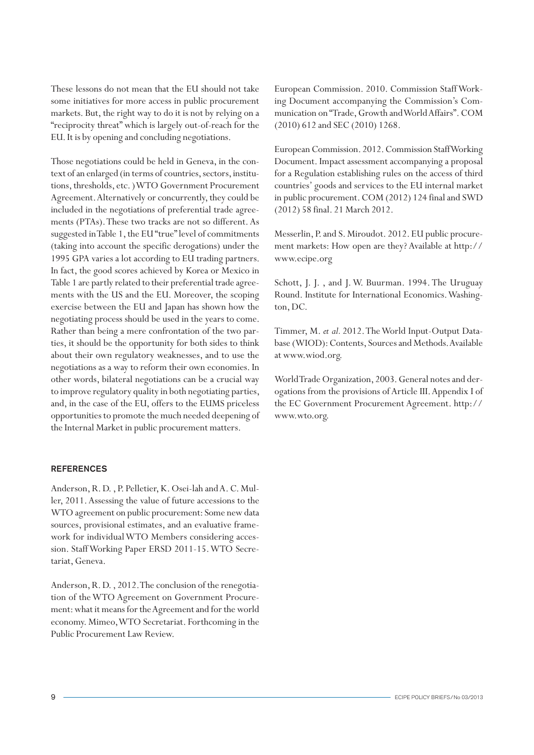These lessons do not mean that the EU should not take some initiatives for more access in public procurement markets. But, the right way to do it is not by relying on a "reciprocity threat" which is largely out-of-reach for the EU. It is by opening and concluding negotiations.

Those negotiations could be held in Geneva, in the context of an enlarged (in terms of countries, sectors, institutions, thresholds, etc. ) WTO Government Procurement Agreement. Alternatively or concurrently, they could be included in the negotiations of preferential trade agreements (PTAs). These two tracks are not so different. As suggested in Table 1, the EU "true" level of commitments (taking into account the specific derogations) under the 1995 GPA varies a lot according to EU trading partners. In fact, the good scores achieved by Korea or Mexico in Table 1 are partly related to their preferential trade agreements with the US and the EU. Moreover, the scoping exercise between the EU and Japan has shown how the negotiating process should be used in the years to come. Rather than being a mere confrontation of the two parties, it should be the opportunity for both sides to think about their own regulatory weaknesses, and to use the negotiations as a way to reform their own economies. In other words, bilateral negotiations can be a crucial way to improve regulatory quality in both negotiating parties, and, in the case of the EU, offers to the EUMS priceless opportunities to promote the much needed deepening of the Internal Market in public procurement matters.

#### REFERENCES

Anderson, R. D. , P. Pelletier, K. Osei-lah and A. C. Muller, 2011. Assessing the value of future accessions to the WTO agreement on public procurement: Some new data sources, provisional estimates, and an evaluative framework for individual WTO Members considering accession. Staff Working Paper ERSD 2011-15. WTO Secretariat, Geneva.

Anderson, R. D. , 2012. The conclusion of the renegotiation of the WTO Agreement on Government Procurement: what it means for the Agreement and for the world economy. Mimeo, WTO Secretariat. Forthcoming in the Public Procurement Law Review.

European Commission. 2010. Commission Staff Working Document accompanying the Commission's Communication on "Trade, Growth and World Affairs". COM (2010) 612 and SEC (2010) 1268.

European Commission. 2012. Commission Staff Working Document. Impact assessment accompanying a proposal for a Regulation establishing rules on the access of third countries' goods and services to the EU internal market in public procurement. COM (2012) 124 final and SWD (2012) 58 final. 21 March 2012.

Messerlin, P. and S. Miroudot. 2012. EU public procurement markets: How open are they? Available at http:// www.ecipe.org

Schott, J. J. , and J. W. Buurman. 1994. The Uruguay Round. Institute for International Economics. Washington, DC.

Timmer, M. *et al.* 2012. The World Input-Output Database (WIOD): Contents, Sources and Methods. Available at www.wiod.org.

World Trade Organization, 2003. General notes and derogations from the provisions of Article III. Appendix I of the EC Government Procurement Agreement. http:// www.wto.org.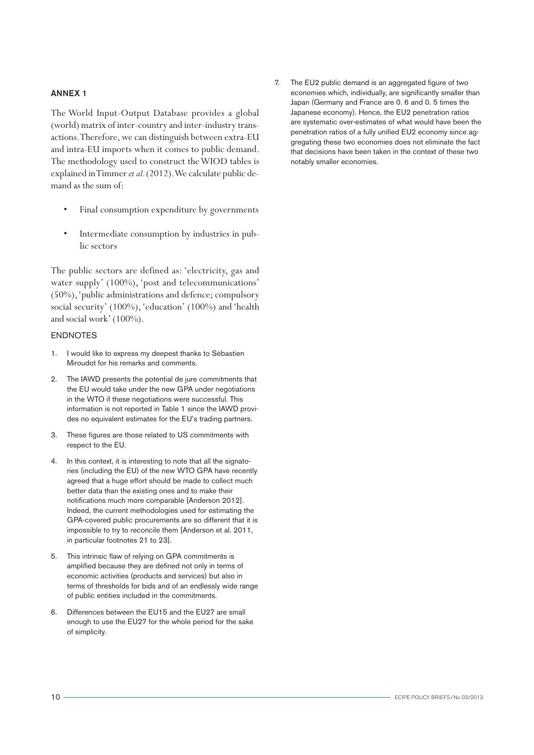#### ANNEX 1

The World Input-Output Database provides a global (world) matrix of inter-country and inter-industry transactions. Therefore, we can distinguish between extra-EU and intra-EU imports when it comes to public demand. The methodology used to construct the WIOD tables is explained in Timmer *et al.* (2012). We calculate public demand as the sum of:

- Final consumption expenditure by governments
- Intermediate consumption by industries in public sectors

The public sectors are defined as: 'electricity, gas and water supply' (100%), 'post and telecommunications' (50%), 'public administrations and defence; compulsory social security' (100%), 'education' (100%) and 'health and social work' (100%).

#### ENDNOTES

- 1. I would like to express my deepest thanks to Sébastien Miroudot for his remarks and comments.
- 2. The IAWD presents the potential de jure commitments that the EU would take under the new GPA under negotiations in the WTO if these negotiations were successful. This information is not reported in Table 1 since the IAWD provides no equivalent estimates for the EU's trading partners.
- 3. These figures are those related to US commitments with respect to the EU.
- 4. In this context, it is interesting to note that all the signatories (including the EU) of the new WTO GPA have recently agreed that a huge effort should be made to collect much better data than the existing ones and to make their notifications much more comparable [Anderson 2012]. Indeed, the current methodologies used for estimating the GPA-covered public procurements are so different that it is impossible to try to reconcile them [Anderson et al. 2011, in particular footnotes 21 to 23].
- 5. This intrinsic flaw of relying on GPA commitments is amplified because they are defined not only in terms of economic activities (products and services) but also in terms of thresholds for bids and of an endlessly wide range of public entities included in the commitments.
- 6. Differences between the EU15 and the EU27 are small enough to use the EU27 for the whole period for the sake of simplicity.

7. The EU2 public demand is an aggregated figure of two economies which, individually, are significantly smaller than Japan (Germany and France are 0. 6 and 0. 5 times the Japanese economy). Hence, the EU2 penetration ratios are systematic over-estimates of what would have been the penetration ratios of a fully unified EU2 economy since aggregating these two economies does not eliminate the fact that decisions have been taken in the context of these two notably smaller economies.